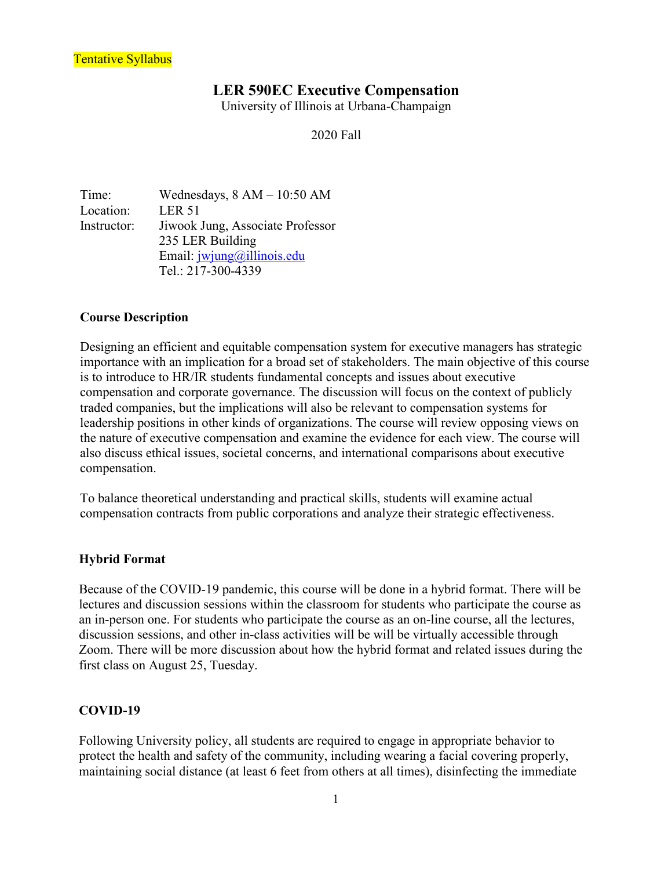### **LER 590EC Executive Compensation**

University of Illinois at Urbana-Champaign

2020 Fall

Time: Wednesdays, 8 AM – 10:50 AM Location: LER 51 Instructor: Jiwook Jung, Associate Professor 235 LER Building Email: [jwjung@illinois.edu](mailto:jwjung@illinois.edu) Tel.: 217-300-4339

#### **Course Description**

Designing an efficient and equitable compensation system for executive managers has strategic importance with an implication for a broad set of stakeholders. The main objective of this course is to introduce to HR/IR students fundamental concepts and issues about executive compensation and corporate governance. The discussion will focus on the context of publicly traded companies, but the implications will also be relevant to compensation systems for leadership positions in other kinds of organizations. The course will review opposing views on the nature of executive compensation and examine the evidence for each view. The course will also discuss ethical issues, societal concerns, and international comparisons about executive compensation.

To balance theoretical understanding and practical skills, students will examine actual compensation contracts from public corporations and analyze their strategic effectiveness.

#### **Hybrid Format**

Because of the COVID-19 pandemic, this course will be done in a hybrid format. There will be lectures and discussion sessions within the classroom for students who participate the course as an in-person one. For students who participate the course as an on-line course, all the lectures, discussion sessions, and other in-class activities will be will be virtually accessible through Zoom. There will be more discussion about how the hybrid format and related issues during the first class on August 25, Tuesday.

#### **COVID-19**

Following University policy, all students are required to engage in appropriate behavior to protect the health and safety of the community, including wearing a facial covering properly, maintaining social distance (at least 6 feet from others at all times), disinfecting the immediate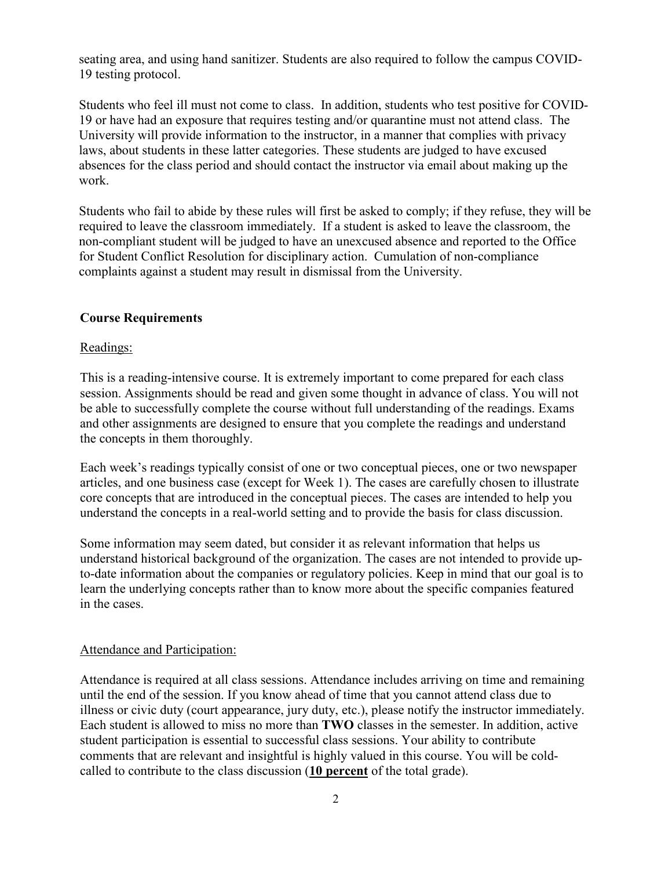seating area, and using hand sanitizer. Students are also required to follow the campus COVID-19 testing protocol.

Students who feel ill must not come to class. In addition, students who test positive for COVID-19 or have had an exposure that requires testing and/or quarantine must not attend class. The University will provide information to the instructor, in a manner that complies with privacy laws, about students in these latter categories. These students are judged to have excused absences for the class period and should contact the instructor via email about making up the work.

Students who fail to abide by these rules will first be asked to comply; if they refuse, they will be required to leave the classroom immediately. If a student is asked to leave the classroom, the non-compliant student will be judged to have an unexcused absence and reported to the Office for Student Conflict Resolution for disciplinary action. Cumulation of non-compliance complaints against a student may result in dismissal from the University.

#### **Course Requirements**

#### Readings:

This is a reading-intensive course. It is extremely important to come prepared for each class session. Assignments should be read and given some thought in advance of class. You will not be able to successfully complete the course without full understanding of the readings. Exams and other assignments are designed to ensure that you complete the readings and understand the concepts in them thoroughly.

Each week's readings typically consist of one or two conceptual pieces, one or two newspaper articles, and one business case (except for Week 1). The cases are carefully chosen to illustrate core concepts that are introduced in the conceptual pieces. The cases are intended to help you understand the concepts in a real-world setting and to provide the basis for class discussion.

Some information may seem dated, but consider it as relevant information that helps us understand historical background of the organization. The cases are not intended to provide upto-date information about the companies or regulatory policies. Keep in mind that our goal is to learn the underlying concepts rather than to know more about the specific companies featured in the cases.

#### Attendance and Participation:

Attendance is required at all class sessions. Attendance includes arriving on time and remaining until the end of the session. If you know ahead of time that you cannot attend class due to illness or civic duty (court appearance, jury duty, etc.), please notify the instructor immediately. Each student is allowed to miss no more than **TWO** classes in the semester. In addition, active student participation is essential to successful class sessions. Your ability to contribute comments that are relevant and insightful is highly valued in this course. You will be coldcalled to contribute to the class discussion (**10 percent** of the total grade).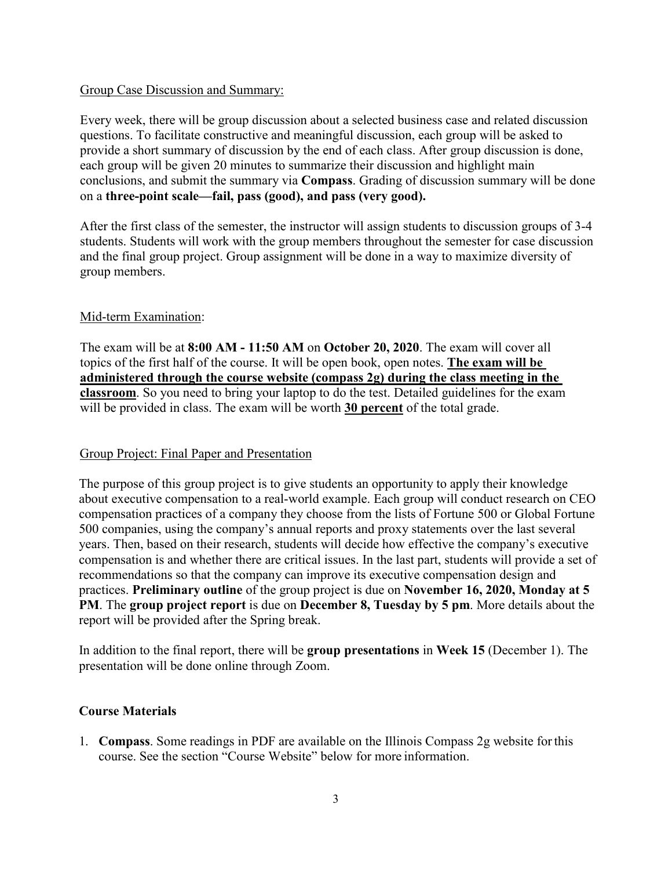#### Group Case Discussion and Summary:

Every week, there will be group discussion about a selected business case and related discussion questions. To facilitate constructive and meaningful discussion, each group will be asked to provide a short summary of discussion by the end of each class. After group discussion is done, each group will be given 20 minutes to summarize their discussion and highlight main conclusions, and submit the summary via **Compass**. Grading of discussion summary will be done on a **three-point scale—fail, pass (good), and pass (very good).** 

After the first class of the semester, the instructor will assign students to discussion groups of 3-4 students. Students will work with the group members throughout the semester for case discussion and the final group project. Group assignment will be done in a way to maximize diversity of group members.

### Mid-term Examination:

The exam will be at **8:00 AM - 11:50 AM** on **October 20, 2020**. The exam will cover all topics of the first half of the course. It will be open book, open notes. **The exam will be administered through the course website (compass 2g) during the class meeting in the classroom**. So you need to bring your laptop to do the test. Detailed guidelines for the exam will be provided in class. The exam will be worth **30 percent** of the total grade.

### Group Project: Final Paper and Presentation

The purpose of this group project is to give students an opportunity to apply their knowledge about executive compensation to a real-world example. Each group will conduct research on CEO compensation practices of a company they choose from the lists of Fortune 500 or Global Fortune 500 companies, using the company's annual reports and proxy statements over the last several years. Then, based on their research, students will decide how effective the company's executive compensation is and whether there are critical issues. In the last part, students will provide a set of recommendations so that the company can improve its executive compensation design and practices. **Preliminary outline** of the group project is due on **November 16, 2020, Monday at 5 PM**. The **group project report** is due on **December 8, Tuesday by 5 pm**. More details about the report will be provided after the Spring break.

In addition to the final report, there will be **group presentations** in **Week 15** (December 1). The presentation will be done online through Zoom.

### **Course Materials**

1. **Compass**. Some readings in PDF are available on the Illinois Compass 2g website forthis course. See the section "Course Website" below for more information.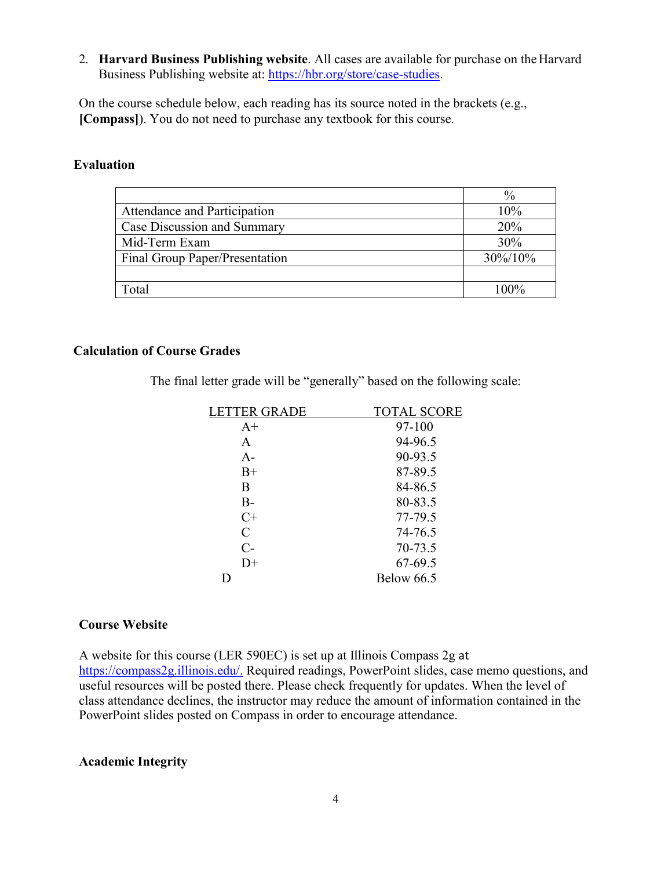2. **Harvard Business Publishing website**. All cases are available for purchase on theHarvard Business Publishing website at: [https://hbr.org/store/case-studies.](https://hbr.org/store/case-studies)

On the course schedule below, each reading has its source noted in the brackets (e.g., **[Compass]**). You do not need to purchase any textbook for this course.

#### **Evaluation**

|                                | $\frac{0}{0}$ |
|--------------------------------|---------------|
| Attendance and Participation   | 10%           |
| Case Discussion and Summary    | 20%           |
| Mid-Term Exam                  | 30%           |
| Final Group Paper/Presentation | 30%/10%       |
|                                |               |
| Total                          | 100%          |

#### **Calculation of Course Grades**

The final letter grade will be "generally" based on the following scale:

| <b>LETTER GRADE</b> | <b>TOTAL SCORE</b> |
|---------------------|--------------------|
| $A+$                | 97-100             |
| A                   | 94-96.5            |
| $A-$                | 90-93.5            |
| $B+$                | 87-89.5            |
| B                   | 84-86.5            |
| $B -$               | 80-83.5            |
| $C+$                | 77-79.5            |
| $\mathcal{C}$       | 74-76.5            |
| $C-$                | 70-73.5            |
| $D+$                | 67-69.5            |
|                     | <b>Below 66.5</b>  |

#### **Course Website**

A website for this course (LER 590EC) is set up at Illinois Compass 2g at [https://compass2g.illinois.edu/.](https://compass2g.illinois.edu/) Required readings, PowerPoint slides, case memo questions, and useful resources will be posted there. Please check frequently for updates. When the level of class attendance declines, the instructor may reduce the amount of information contained in the PowerPoint slides posted on Compass in order to encourage attendance.

#### **Academic Integrity**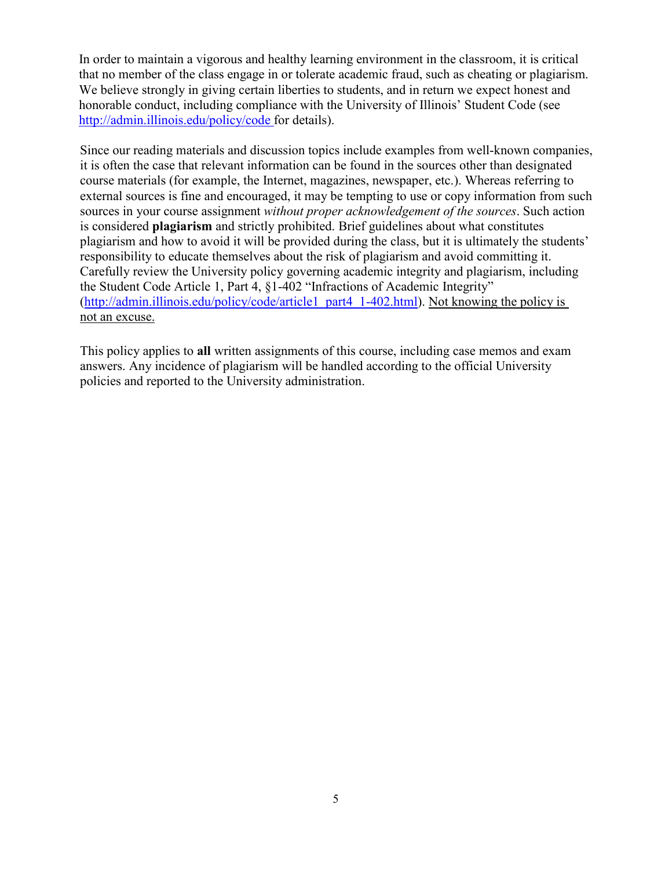In order to maintain a vigorous and healthy learning environment in the classroom, it is critical that no member of the class engage in or tolerate academic fraud, such as cheating or plagiarism. We believe strongly in giving certain liberties to students, and in return we expect honest and honorable conduct, including compliance with the University of Illinois' Student Code (see [http://admin.illinois.edu/policy/code f](http://admin.illinois.edu/policy/code)or details).

Since our reading materials and discussion topics include examples from well-known companies, it is often the case that relevant information can be found in the sources other than designated course materials (for example, the Internet, magazines, newspaper, etc.). Whereas referring to external sources is fine and encouraged, it may be tempting to use or copy information from such sources in your course assignment *without proper acknowledgement of the sources*. Such action is considered **plagiarism** and strictly prohibited. Brief guidelines about what constitutes plagiarism and how to avoid it will be provided during the class, but it is ultimately the students' responsibility to educate themselves about the risk of plagiarism and avoid committing it. Carefully review the University policy governing academic integrity and plagiarism, including the Student Code Article 1, Part 4, §1-402 "Infractions of Academic Integrity" [\(http://admin.illinois.edu/policy/code/article1\\_part4\\_1-402.html\)](http://admin.illinois.edu/policy/code/article1_part4_1-402.html). Not knowing the policy is not an excuse.

This policy applies to **all** written assignments of this course, including case memos and exam answers. Any incidence of plagiarism will be handled according to the official University policies and reported to the University administration.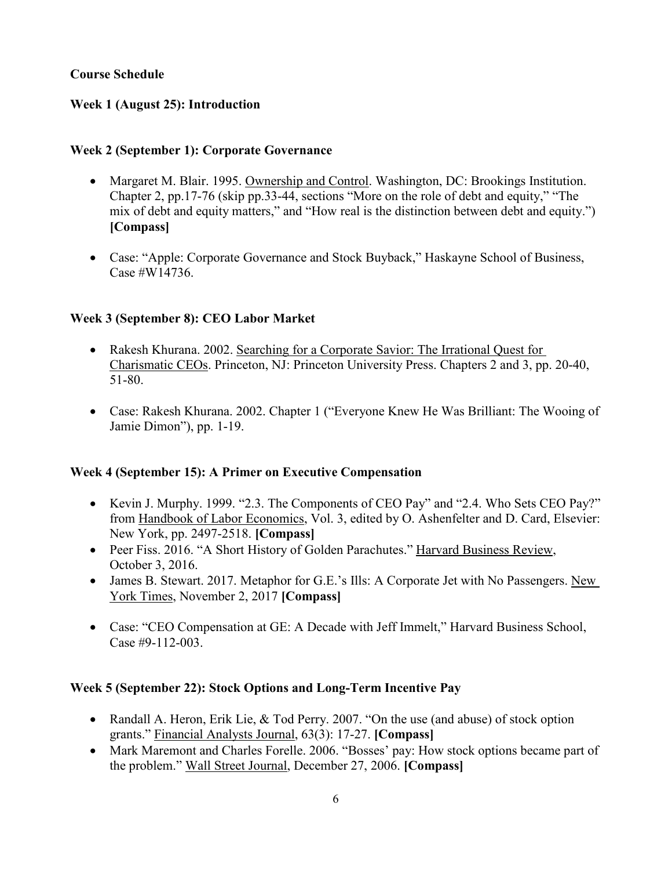## **Course Schedule**

## **Week 1 (August 25): Introduction**

## **Week 2 (September 1): Corporate Governance**

- Margaret M. Blair. 1995. Ownership and Control. Washington, DC: Brookings Institution. Chapter 2, pp.17-76 (skip pp.33-44, sections "More on the role of debt and equity," "The mix of debt and equity matters," and "How real is the distinction between debt and equity.") **[Compass]**
- Case: "Apple: Corporate Governance and Stock Buyback," Haskayne School of Business, Case #W14736.

# **Week 3 (September 8): CEO Labor Market**

- Rakesh Khurana. 2002. Searching for a Corporate Savior: The Irrational Quest for Charismatic CEOs. Princeton, NJ: Princeton University Press. Chapters 2 and 3, pp. 20-40, 51-80.
- Case: Rakesh Khurana. 2002. Chapter 1 ("Everyone Knew He Was Brilliant: The Wooing of Jamie Dimon"), pp. 1-19.

## **Week 4 (September 15): A Primer on Executive Compensation**

- Kevin J. Murphy. 1999. "2.3. The Components of CEO Pay" and "2.4. Who Sets CEO Pay?" from Handbook of Labor Economics, Vol. 3, edited by O. Ashenfelter and D. Card, Elsevier: New York, pp. 2497-2518. **[Compass]**
- Peer Fiss. 2016. "A Short History of Golden Parachutes." Harvard Business Review, October 3, 2016.
- James B. Stewart. 2017. Metaphor for G.E.'s Ills: A Corporate Jet with No Passengers. New York Times, November 2, 2017 **[Compass]**
- Case: "CEO Compensation at GE: A Decade with Jeff Immelt," Harvard Business School, Case #9-112-003.

## **Week 5 (September 22): Stock Options and Long-Term Incentive Pay**

- Randall A. Heron, Erik Lie, & Tod Perry. 2007. "On the use (and abuse) of stock option grants." Financial Analysts Journal, 63(3): 17-27. **[Compass]**
- Mark Maremont and Charles Forelle. 2006. "Bosses' pay: How stock options became part of the problem." Wall Street Journal, December 27, 2006. **[Compass]**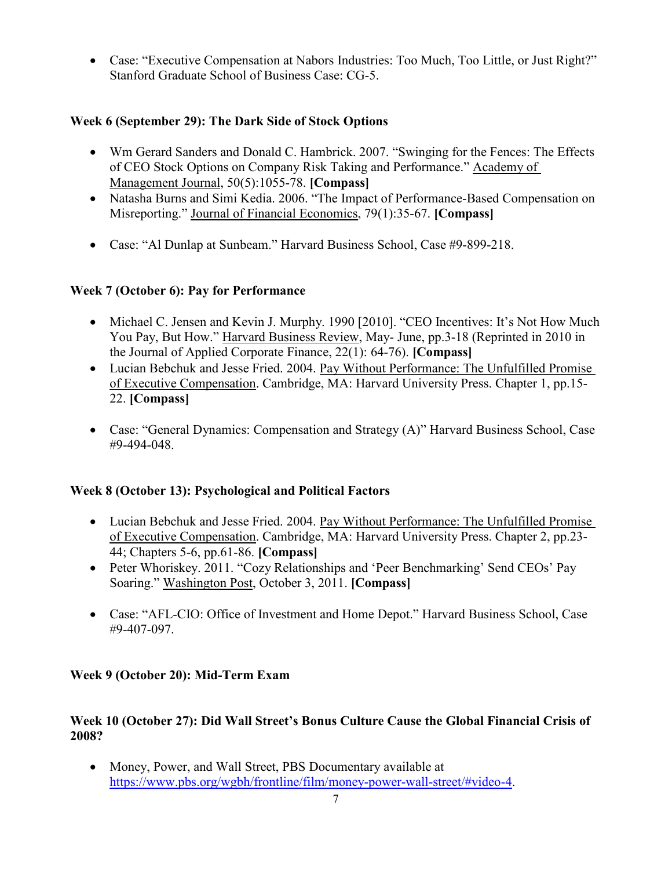• Case: "Executive Compensation at Nabors Industries: Too Much, Too Little, or Just Right?" Stanford Graduate School of Business Case: CG-5.

# **Week 6 (September 29): The Dark Side of Stock Options**

- Wm Gerard Sanders and Donald C. Hambrick. 2007. "Swinging for the Fences: The Effects of CEO Stock Options on Company Risk Taking and Performance." Academy of Management Journal, 50(5):1055-78. **[Compass]**
- Natasha Burns and Simi Kedia. 2006. "The Impact of Performance-Based Compensation on Misreporting." Journal of Financial Economics, 79(1):35-67. **[Compass]**
- Case: "Al Dunlap at Sunbeam." Harvard Business School, Case #9-899-218.

# **Week 7 (October 6): Pay for Performance**

- Michael C. Jensen and Kevin J. Murphy. 1990 [2010]. "CEO Incentives: It's Not How Much You Pay, But How." Harvard Business Review, May- June, pp.3-18 (Reprinted in 2010 in the Journal of Applied Corporate Finance, 22(1): 64-76). **[Compass]**
- Lucian Bebchuk and Jesse Fried. 2004. Pay Without Performance: The Unfulfilled Promise of Executive Compensation. Cambridge, MA: Harvard University Press. Chapter 1, pp.15- 22. **[Compass]**
- Case: "General Dynamics: Compensation and Strategy (A)" Harvard Business School, Case #9-494-048.

# **Week 8 (October 13): Psychological and Political Factors**

- Lucian Bebchuk and Jesse Fried. 2004. Pay Without Performance: The Unfulfilled Promise of Executive Compensation. Cambridge, MA: Harvard University Press. Chapter 2, pp.23- 44; Chapters 5-6, pp.61-86. **[Compass]**
- Peter Whoriskey. 2011. "Cozy Relationships and 'Peer Benchmarking' Send CEOs' Pay Soaring." Washington Post, October 3, 2011. **[Compass]**
- Case: "AFL-CIO: Office of Investment and Home Depot." Harvard Business School, Case #9-407-097.

# **Week 9 (October 20): Mid-Term Exam**

# **Week 10 (October 27): Did Wall Street's Bonus Culture Cause the Global Financial Crisis of 2008?**

• Money, Power, and Wall Street, PBS Documentary available at [https://www.pbs.org/wgbh/frontline/film/money-power-wall-street/#video-4.](https://www.pbs.org/wgbh/frontline/film/money-power-wall-street/#video-4)